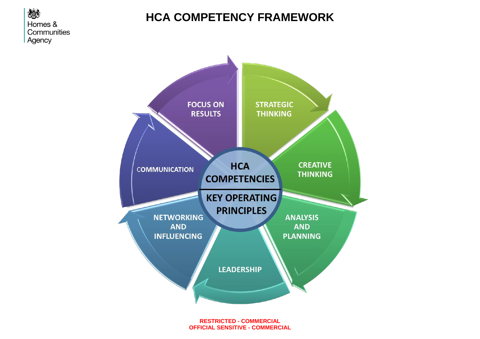

## **HCA COMPETENCY FRAMEWORK**



**RESTRICTED - COMMERCIAL OFFICIAL SENSITIVE - COMMERCIAL**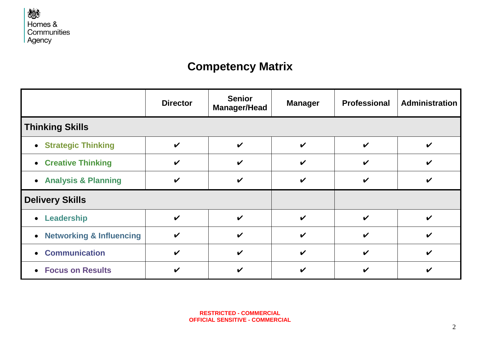

## **Competency Matrix**

|                            | <b>Director</b>            | <b>Senior</b><br><b>Manager/Head</b> | <b>Manager</b>     | <b>Professional</b>        | Administration             |
|----------------------------|----------------------------|--------------------------------------|--------------------|----------------------------|----------------------------|
| <b>Thinking Skills</b>     |                            |                                      |                    |                            |                            |
| • Strategic Thinking       | $\boldsymbol{\mathcal{U}}$ | $\boldsymbol{\mathcal{U}}$           | $\boldsymbol{\nu}$ | $\checkmark$               | V                          |
| • Creative Thinking        | $\checkmark$               | V                                    | V                  | $\boldsymbol{\mathcal{U}}$ | ✔                          |
| • Analysis & Planning      | $\boldsymbol{\mathcal{U}}$ | $\boldsymbol{\nu}$                   | V                  | $\boldsymbol{\mathcal{U}}$ | V                          |
| <b>Delivery Skills</b>     |                            |                                      |                    |                            |                            |
| • Leadership               | $\checkmark$               | $\boldsymbol{\nu}$                   | $\boldsymbol{\nu}$ | $\checkmark$               | ✔                          |
| • Networking & Influencing | $\boldsymbol{\mathcal{U}}$ | $\boldsymbol{\nu}$                   | ✔                  | $\boldsymbol{\nu}$         | V                          |
| • Communication            | $\checkmark$               | $\boldsymbol{\nu}$                   | ✔                  | $\boldsymbol{\mathcal{U}}$ | $\boldsymbol{\mathcal{U}}$ |
| • Focus on Results         | $\boldsymbol{\mathcal{U}}$ | V                                    | V                  | V                          |                            |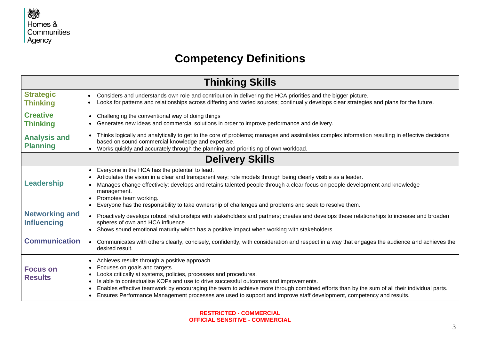

## **Competency Definitions**

| <b>Thinking Skills</b>                      |                                                                                                                                                                                                                                                                                                                                                                                                                                                                                                                                             |  |
|---------------------------------------------|---------------------------------------------------------------------------------------------------------------------------------------------------------------------------------------------------------------------------------------------------------------------------------------------------------------------------------------------------------------------------------------------------------------------------------------------------------------------------------------------------------------------------------------------|--|
| <b>Strategic</b><br><b>Thinking</b>         | Considers and understands own role and contribution in delivering the HCA priorities and the bigger picture.<br>$\bullet$<br>Looks for patterns and relationships across differing and varied sources; continually develops clear strategies and plans for the future.                                                                                                                                                                                                                                                                      |  |
| <b>Creative</b><br><b>Thinking</b>          | • Challenging the conventional way of doing things<br>• Generates new ideas and commercial solutions in order to improve performance and delivery.                                                                                                                                                                                                                                                                                                                                                                                          |  |
| <b>Analysis and</b><br><b>Planning</b>      | • Thinks logically and analytically to get to the core of problems; manages and assimilates complex information resulting in effective decisions<br>based on sound commercial knowledge and expertise.<br>Works quickly and accurately through the planning and prioritising of own workload.                                                                                                                                                                                                                                               |  |
| <b>Delivery Skills</b>                      |                                                                                                                                                                                                                                                                                                                                                                                                                                                                                                                                             |  |
| <b>Leadership</b>                           | • Everyone in the HCA has the potential to lead.<br>Articulates the vision in a clear and transparent way; role models through being clearly visible as a leader.<br>Manages change effectively; develops and retains talented people through a clear focus on people development and knowledge<br>management.<br>• Promotes team working.<br>• Everyone has the responsibility to take ownership of challenges and problems and seek to resolve them.                                                                                      |  |
| <b>Networking and</b><br><b>Influencing</b> | • Proactively develops robust relationships with stakeholders and partners; creates and develops these relationships to increase and broaden<br>spheres of own and HCA influence.<br>• Shows sound emotional maturity which has a positive impact when working with stakeholders.                                                                                                                                                                                                                                                           |  |
| <b>Communication</b>                        | • Communicates with others clearly, concisely, confidently, with consideration and respect in a way that engages the audience and achieves the<br>desired result.                                                                                                                                                                                                                                                                                                                                                                           |  |
| <b>Focus on</b><br><b>Results</b>           | Achieves results through a positive approach.<br>$\bullet$<br>Focuses on goals and targets.<br>$\bullet$<br>Looks critically at systems, policies, processes and procedures.<br>Is able to contextualise KOPs and use to drive successful outcomes and improvements.<br>Enables effective teamwork by encouraging the team to achieve more through combined efforts than by the sum of all their individual parts.<br>• Ensures Performance Management processes are used to support and improve staff development, competency and results. |  |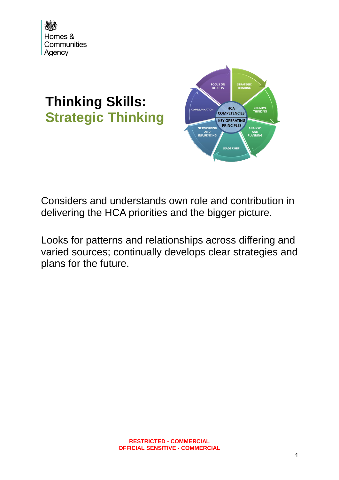

# **Thinking Skills: Strategic Thinking**



Considers and understands own role and contribution in delivering the HCA priorities and the bigger picture.

Looks for patterns and relationships across differing and varied sources; continually develops clear strategies and plans for the future.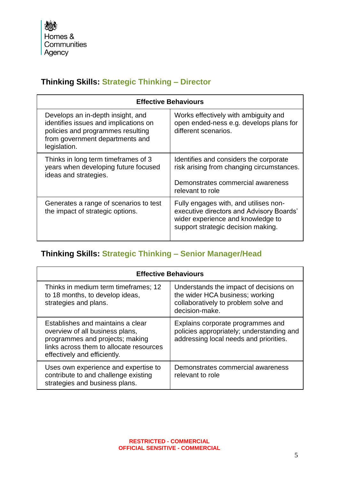## **Thinking Skills: Strategic Thinking – Director**

| <b>Effective Behaviours</b>                                                                                                                                        |                                                                                                                                                              |  |
|--------------------------------------------------------------------------------------------------------------------------------------------------------------------|--------------------------------------------------------------------------------------------------------------------------------------------------------------|--|
| Develops an in-depth insight, and<br>identifies issues and implications on<br>policies and programmes resulting<br>from government departments and<br>legislation. | Works effectively with ambiguity and<br>open ended-ness e.g. develops plans for<br>different scenarios.                                                      |  |
| Thinks in long term timeframes of 3<br>years when developing future focused<br>ideas and strategies.                                                               | Identifies and considers the corporate<br>risk arising from changing circumstances.<br>Demonstrates commercial awareness<br>relevant to role                 |  |
| Generates a range of scenarios to test<br>the impact of strategic options.                                                                                         | Fully engages with, and utilises non-<br>executive directors and Advisory Boards'<br>wider experience and knowledge to<br>support strategic decision making. |  |

## **Thinking Skills: Strategic Thinking – Senior Manager/Head**

| <b>Effective Behaviours</b>                                                                                                                                                        |                                                                                                                                     |  |
|------------------------------------------------------------------------------------------------------------------------------------------------------------------------------------|-------------------------------------------------------------------------------------------------------------------------------------|--|
| Thinks in medium term timeframes; 12<br>to 18 months, to develop ideas,<br>strategies and plans.                                                                                   | Understands the impact of decisions on<br>the wider HCA business; working<br>collaboratively to problem solve and<br>decision-make. |  |
| Establishes and maintains a clear<br>overview of all business plans,<br>programmes and projects; making<br>links across them to allocate resources<br>effectively and efficiently. | Explains corporate programmes and<br>policies appropriately; understanding and<br>addressing local needs and priorities.            |  |
| Uses own experience and expertise to<br>contribute to and challenge existing<br>strategies and business plans.                                                                     | Demonstrates commercial awareness<br>relevant to role                                                                               |  |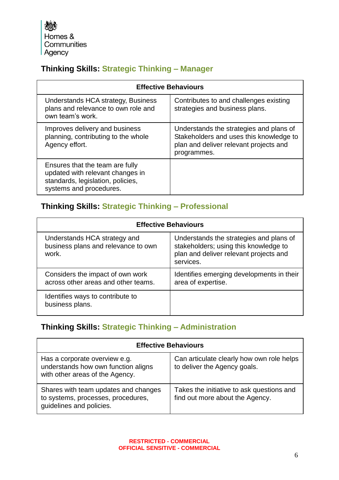Homes & Communities Agency

## **Thinking Skills: Strategic Thinking – Manager**

| <b>Effective Behaviours</b>                                                                                                         |                                                                                                                                             |  |
|-------------------------------------------------------------------------------------------------------------------------------------|---------------------------------------------------------------------------------------------------------------------------------------------|--|
| Understands HCA strategy, Business<br>plans and relevance to own role and<br>own team's work.                                       | Contributes to and challenges existing<br>strategies and business plans.                                                                    |  |
| Improves delivery and business<br>planning, contributing to the whole<br>Agency effort.                                             | Understands the strategies and plans of<br>Stakeholders and uses this knowledge to<br>plan and deliver relevant projects and<br>programmes. |  |
| Ensures that the team are fully<br>updated with relevant changes in<br>standards, legislation, policies,<br>systems and procedures. |                                                                                                                                             |  |

## **Thinking Skills: Strategic Thinking – Professional**

| <b>Effective Behaviours</b>                                                  |                                                                                                                                         |  |
|------------------------------------------------------------------------------|-----------------------------------------------------------------------------------------------------------------------------------------|--|
| Understands HCA strategy and<br>business plans and relevance to own<br>work. | Understands the strategies and plans of<br>stakeholders; using this knowledge to<br>plan and deliver relevant projects and<br>services. |  |
| Considers the impact of own work<br>across other areas and other teams.      | Identifies emerging developments in their<br>area of expertise.                                                                         |  |
| Identifies ways to contribute to<br>business plans.                          |                                                                                                                                         |  |

### **Thinking Skills: Strategic Thinking – Administration**

| <b>Effective Behaviours</b>                                                                             |                                                                              |  |
|---------------------------------------------------------------------------------------------------------|------------------------------------------------------------------------------|--|
| Has a corporate overview e.g.<br>understands how own function aligns<br>with other areas of the Agency. | Can articulate clearly how own role helps<br>to deliver the Agency goals.    |  |
| Shares with team updates and changes<br>to systems, processes, procedures,<br>guidelines and policies.  | Takes the initiative to ask questions and<br>find out more about the Agency. |  |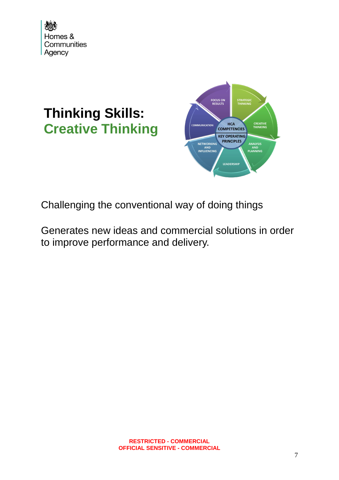

## **Thinking Skills: Creative Thinking**



Challenging the conventional way of doing things

Generates new ideas and commercial solutions in order to improve performance and delivery.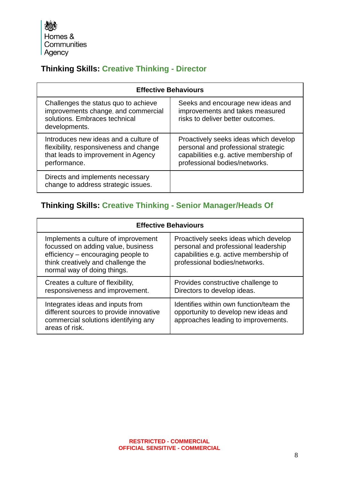大家 Homes & Communities Agency

## **Thinking Skills: Creative Thinking - Director**

| <b>Effective Behaviours</b>                                                                                                            |                                                                                                                                                         |  |
|----------------------------------------------------------------------------------------------------------------------------------------|---------------------------------------------------------------------------------------------------------------------------------------------------------|--|
| Challenges the status quo to achieve<br>improvements change, and commercial<br>solutions. Embraces technical<br>developments.          | Seeks and encourage new ideas and<br>improvements and takes measured<br>risks to deliver better outcomes.                                               |  |
| Introduces new ideas and a culture of<br>flexibility, responsiveness and change<br>that leads to improvement in Agency<br>performance. | Proactively seeks ideas which develop<br>personal and professional strategic<br>capabilities e.g. active membership of<br>professional bodies/networks. |  |
| Directs and implements necessary<br>change to address strategic issues.                                                                |                                                                                                                                                         |  |

## **Thinking Skills: Creative Thinking - Senior Manager/Heads Of**

| <b>Effective Behaviours</b>                                                                                                                                                          |                                                                                                                                                          |  |
|--------------------------------------------------------------------------------------------------------------------------------------------------------------------------------------|----------------------------------------------------------------------------------------------------------------------------------------------------------|--|
| Implements a culture of improvement<br>focussed on adding value, business<br>efficiency – encouraging people to<br>think creatively and challenge the<br>normal way of doing things. | Proactively seeks ideas which develop<br>personal and professional leadership<br>capabilities e.g. active membership of<br>professional bodies/networks. |  |
| Creates a culture of flexibility,<br>responsiveness and improvement.                                                                                                                 | Provides constructive challenge to<br>Directors to develop ideas.                                                                                        |  |
| Integrates ideas and inputs from<br>different sources to provide innovative<br>commercial solutions identifying any<br>areas of risk.                                                | Identifies within own function/team the<br>opportunity to develop new ideas and<br>approaches leading to improvements.                                   |  |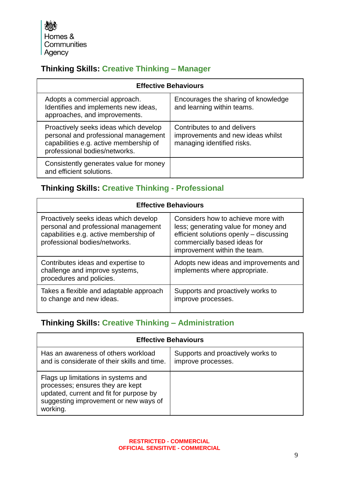小学 Homes & Communities Agency

## **Thinking Skills: Creative Thinking – Manager**

| <b>Effective Behaviours</b>                                                                                                                              |                                                                                                |  |
|----------------------------------------------------------------------------------------------------------------------------------------------------------|------------------------------------------------------------------------------------------------|--|
| Adopts a commercial approach.<br>Identifies and implements new ideas,<br>approaches, and improvements.                                                   | Encourages the sharing of knowledge<br>and learning within teams.                              |  |
| Proactively seeks ideas which develop<br>personal and professional management<br>capabilities e.g. active membership of<br>professional bodies/networks. | Contributes to and delivers<br>improvements and new ideas whilst<br>managing identified risks. |  |
| Consistently generates value for money<br>and efficient solutions.                                                                                       |                                                                                                |  |

### **Thinking Skills: Creative Thinking - Professional**

| <b>Effective Behaviours</b>                                                                                                                              |                                                                                                                                                                                       |  |
|----------------------------------------------------------------------------------------------------------------------------------------------------------|---------------------------------------------------------------------------------------------------------------------------------------------------------------------------------------|--|
| Proactively seeks ideas which develop<br>personal and professional management<br>capabilities e.g. active membership of<br>professional bodies/networks. | Considers how to achieve more with<br>less; generating value for money and<br>efficient solutions openly - discussing<br>commercially based ideas for<br>improvement within the team. |  |
| Contributes ideas and expertise to<br>challenge and improve systems,<br>procedures and policies.                                                         | Adopts new ideas and improvements and<br>implements where appropriate.                                                                                                                |  |
| Takes a flexible and adaptable approach<br>to change and new ideas.                                                                                      | Supports and proactively works to<br>improve processes.                                                                                                                               |  |

## **Thinking Skills: Creative Thinking – Administration**

| <b>Effective Behaviours</b>                                                                                                                                             |                                                         |  |
|-------------------------------------------------------------------------------------------------------------------------------------------------------------------------|---------------------------------------------------------|--|
| Has an awareness of others workload<br>and is considerate of their skills and time.                                                                                     | Supports and proactively works to<br>improve processes. |  |
| Flags up limitations in systems and<br>processes; ensures they are kept<br>updated, current and fit for purpose by<br>suggesting improvement or new ways of<br>working. |                                                         |  |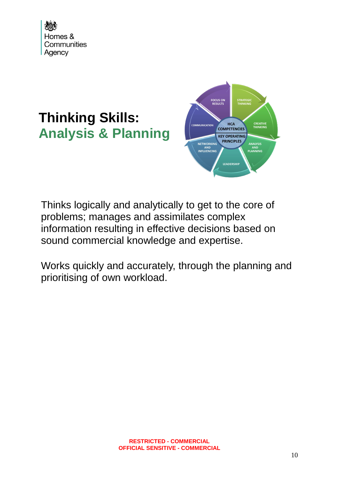

## **Thinking Skills: Analysis & Planning**



Thinks logically and analytically to get to the core of problems; manages and assimilates complex information resulting in effective decisions based on sound commercial knowledge and expertise.

Works quickly and accurately, through the planning and prioritising of own workload.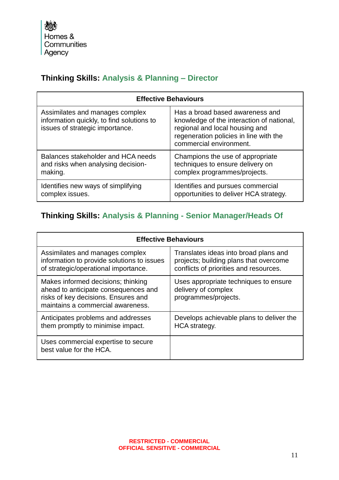#### **Thinking Skills: Analysis & Planning – Director**

| <b>Effective Behaviours</b>                                                                                     |                                                                                                                                                                                     |
|-----------------------------------------------------------------------------------------------------------------|-------------------------------------------------------------------------------------------------------------------------------------------------------------------------------------|
| Assimilates and manages complex<br>information quickly, to find solutions to<br>issues of strategic importance. | Has a broad based awareness and<br>knowledge of the interaction of national,<br>regional and local housing and<br>regeneration policies in line with the<br>commercial environment. |
| Balances stakeholder and HCA needs                                                                              | Champions the use of appropriate                                                                                                                                                    |
| and risks when analysing decision-                                                                              | techniques to ensure delivery on                                                                                                                                                    |
| making.                                                                                                         | complex programmes/projects.                                                                                                                                                        |
| Identifies new ways of simplifying                                                                              | Identifies and pursues commercial                                                                                                                                                   |
| complex issues.                                                                                                 | opportunities to deliver HCA strategy.                                                                                                                                              |

### **Thinking Skills: Analysis & Planning - Senior Manager/Heads Of**

| <b>Effective Behaviours</b>                                                                                                                            |                                                                                                                           |
|--------------------------------------------------------------------------------------------------------------------------------------------------------|---------------------------------------------------------------------------------------------------------------------------|
| Assimilates and manages complex<br>information to provide solutions to issues<br>of strategic/operational importance.                                  | Translates ideas into broad plans and<br>projects; building plans that overcome<br>conflicts of priorities and resources. |
| Makes informed decisions; thinking<br>ahead to anticipate consequences and<br>risks of key decisions. Ensures and<br>maintains a commercial awareness. | Uses appropriate techniques to ensure<br>delivery of complex<br>programmes/projects.                                      |
| Anticipates problems and addresses<br>them promptly to minimise impact.                                                                                | Develops achievable plans to deliver the<br><b>HCA</b> strategy.                                                          |
| Uses commercial expertise to secure<br>best value for the HCA.                                                                                         |                                                                                                                           |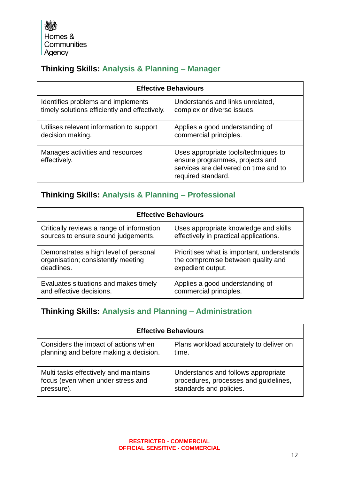小学 Homes & Communities Agency

## **Thinking Skills: Analysis & Planning – Manager**

| <b>Effective Behaviours</b>                      |                                                                                                                                        |
|--------------------------------------------------|----------------------------------------------------------------------------------------------------------------------------------------|
| Identifies problems and implements               | Understands and links unrelated,                                                                                                       |
| timely solutions efficiently and effectively.    | complex or diverse issues.                                                                                                             |
| Utilises relevant information to support         | Applies a good understanding of                                                                                                        |
| decision making.                                 | commercial principles.                                                                                                                 |
| Manages activities and resources<br>effectively. | Uses appropriate tools/techniques to<br>ensure programmes, projects and<br>services are delivered on time and to<br>required standard. |

#### **Thinking Skills: Analysis & Planning – Professional**

| <b>Effective Behaviours</b>               |                                            |
|-------------------------------------------|--------------------------------------------|
| Critically reviews a range of information | Uses appropriate knowledge and skills      |
| sources to ensure sound judgements.       | effectively in practical applications.     |
| Demonstrates a high level of personal     | Prioritises what is important, understands |
| organisation; consistently meeting        | the compromise between quality and         |
| deadlines.                                | expedient output.                          |
| Evaluates situations and makes timely     | Applies a good understanding of            |
| and effective decisions.                  | commercial principles.                     |

#### **Thinking Skills: Analysis and Planning – Administration**

| <b>Effective Behaviours</b>            |                                         |
|----------------------------------------|-----------------------------------------|
| Considers the impact of actions when   | Plans workload accurately to deliver on |
| planning and before making a decision. | time.                                   |
| Multi tasks effectively and maintains  | Understands and follows appropriate     |
| focus (even when under stress and      | procedures, processes and quidelines.   |
| pressure).                             | standards and policies.                 |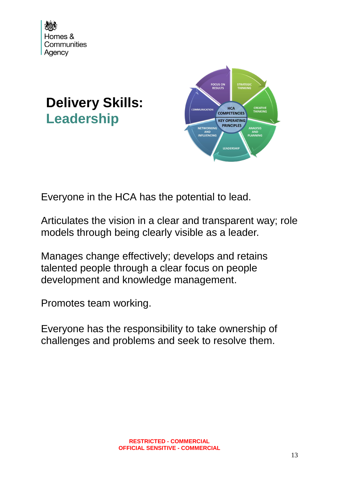

# **Delivery Skills: Leadership**



Everyone in the HCA has the potential to lead.

Articulates the vision in a clear and transparent way; role models through being clearly visible as a leader.

Manages change effectively; develops and retains talented people through a clear focus on people development and knowledge management.

Promotes team working.

Everyone has the responsibility to take ownership of challenges and problems and seek to resolve them.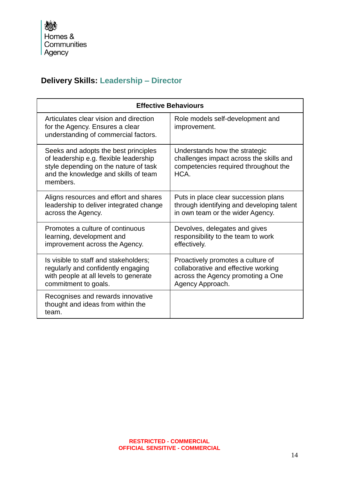## **Delivery Skills: Leadership – Director**

| <b>Effective Behaviours</b>                                                                                                                                                 |                                                                                                                                   |
|-----------------------------------------------------------------------------------------------------------------------------------------------------------------------------|-----------------------------------------------------------------------------------------------------------------------------------|
| Articulates clear vision and direction<br>for the Agency. Ensures a clear<br>understanding of commercial factors.                                                           | Role models self-development and<br>improvement.                                                                                  |
| Seeks and adopts the best principles<br>of leadership e.g. flexible leadership<br>style depending on the nature of task<br>and the knowledge and skills of team<br>members. | Understands how the strategic<br>challenges impact across the skills and<br>competencies required throughout the<br>HCA.          |
| Aligns resources and effort and shares<br>leadership to deliver integrated change<br>across the Agency.                                                                     | Puts in place clear succession plans<br>through identifying and developing talent<br>in own team or the wider Agency.             |
| Promotes a culture of continuous<br>learning, development and<br>improvement across the Agency.                                                                             | Devolves, delegates and gives<br>responsibility to the team to work<br>effectively.                                               |
| Is visible to staff and stakeholders;<br>regularly and confidently engaging<br>with people at all levels to generate<br>commitment to goals.                                | Proactively promotes a culture of<br>collaborative and effective working<br>across the Agency promoting a One<br>Agency Approach. |
| Recognises and rewards innovative<br>thought and ideas from within the<br>team.                                                                                             |                                                                                                                                   |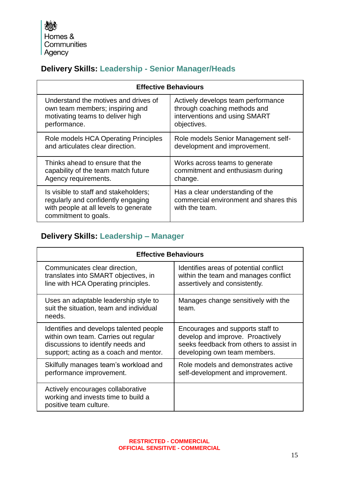大家 Homes & Communities Agency

## **Delivery Skills: Leadership - Senior Manager/Heads**

| <b>Effective Behaviours</b>                                                                                                                  |                                                                                              |
|----------------------------------------------------------------------------------------------------------------------------------------------|----------------------------------------------------------------------------------------------|
| Understand the motives and drives of                                                                                                         | Actively develops team performance                                                           |
| own team members; inspiring and                                                                                                              | through coaching methods and                                                                 |
| motivating teams to deliver high                                                                                                             | interventions and using SMART                                                                |
| performance.                                                                                                                                 | objectives.                                                                                  |
| Role models HCA Operating Principles                                                                                                         | Role models Senior Management self-                                                          |
| and articulates clear direction.                                                                                                             | development and improvement.                                                                 |
| Thinks ahead to ensure that the                                                                                                              | Works across teams to generate                                                               |
| capability of the team match future                                                                                                          | commitment and enthusiasm during                                                             |
| Agency requirements.                                                                                                                         | change.                                                                                      |
| Is visible to staff and stakeholders;<br>regularly and confidently engaging<br>with people at all levels to generate<br>commitment to goals. | Has a clear understanding of the<br>commercial environment and shares this<br>with the team. |

## **Delivery Skills: Leadership – Manager**

| <b>Effective Behaviours</b>                                                                        |                                              |
|----------------------------------------------------------------------------------------------------|----------------------------------------------|
| Communicates clear direction,                                                                      | Identifies areas of potential conflict       |
| translates into SMART objectives, in                                                               | within the team and manages conflict         |
| line with HCA Operating principles.                                                                | assertively and consistently.                |
| Uses an adaptable leadership style to<br>suit the situation, team and individual<br>needs.         | Manages change sensitively with the<br>team. |
| Identifies and develops talented people                                                            | Encourages and supports staff to             |
| within own team. Carries out regular                                                               | develop and improve. Proactively             |
| discussions to identify needs and                                                                  | seeks feedback from others to assist in      |
| support; acting as a coach and mentor.                                                             | developing own team members.                 |
| Skilfully manages team's workload and                                                              | Role models and demonstrates active          |
| performance improvement.                                                                           | self-development and improvement.            |
| Actively encourages collaborative<br>working and invests time to build a<br>positive team culture. |                                              |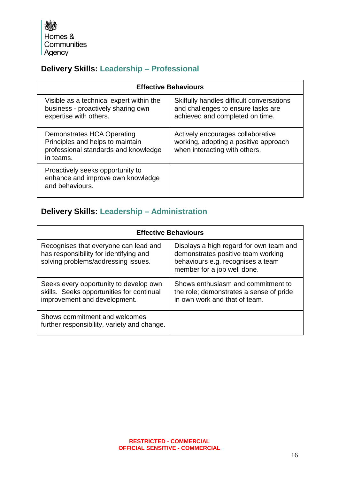大家 Homes & Communities Agency

## **Delivery Skills: Leadership – Professional**

| <b>Effective Behaviours</b>                                                                                         |                                                                                                                    |
|---------------------------------------------------------------------------------------------------------------------|--------------------------------------------------------------------------------------------------------------------|
| Visible as a technical expert within the<br>business - proactively sharing own<br>expertise with others.            | Skilfully handles difficult conversations<br>and challenges to ensure tasks are<br>achieved and completed on time. |
| Demonstrates HCA Operating<br>Principles and helps to maintain<br>professional standards and knowledge<br>in teams. | Actively encourages collaborative<br>working, adopting a positive approach<br>when interacting with others.        |
| Proactively seeks opportunity to<br>enhance and improve own knowledge<br>and behaviours.                            |                                                                                                                    |

## **Delivery Skills: Leadership – Administration**

| <b>Effective Behaviours</b>                                                                                            |                                                                                                                                                   |
|------------------------------------------------------------------------------------------------------------------------|---------------------------------------------------------------------------------------------------------------------------------------------------|
| Recognises that everyone can lead and<br>has responsibility for identifying and<br>solving problems/addressing issues. | Displays a high regard for own team and<br>demonstrates positive team working<br>behaviours e.g. recognises a team<br>member for a job well done. |
| Seeks every opportunity to develop own<br>skills. Seeks opportunities for continual<br>improvement and development.    | Shows enthusiasm and commitment to<br>the role; demonstrates a sense of pride<br>in own work and that of team.                                    |
| Shows commitment and welcomes<br>further responsibility, variety and change.                                           |                                                                                                                                                   |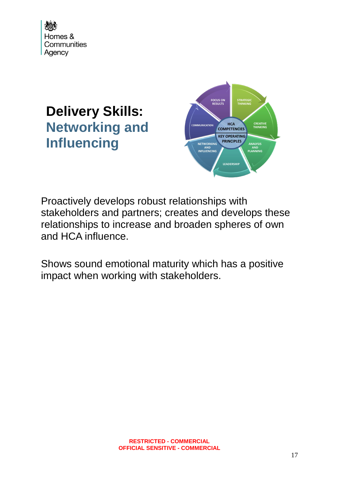

## **Delivery Skills: Networking and Influencing**



Proactively develops robust relationships with stakeholders and partners; creates and develops these relationships to increase and broaden spheres of own and HCA influence.

Shows sound emotional maturity which has a positive impact when working with stakeholders.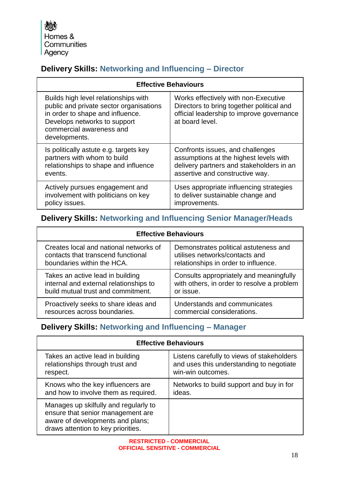公募 Homes & Communities Agency

## **Delivery Skills: Networking and Influencing – Director**

| <b>Effective Behaviours</b>                                                                                                                                                                      |                                                                                                                                                   |
|--------------------------------------------------------------------------------------------------------------------------------------------------------------------------------------------------|---------------------------------------------------------------------------------------------------------------------------------------------------|
| Builds high level relationships with<br>public and private sector organisations<br>in order to shape and influence.<br>Develops networks to support<br>commercial awareness and<br>developments. | Works effectively with non-Executive<br>Directors to bring together political and<br>official leadership to improve governance<br>at board level. |
| Is politically astute e.g. targets key                                                                                                                                                           | Confronts issues, and challenges                                                                                                                  |
| partners with whom to build                                                                                                                                                                      | assumptions at the highest levels with                                                                                                            |
| relationships to shape and influence                                                                                                                                                             | delivery partners and stakeholders in an                                                                                                          |
| events.                                                                                                                                                                                          | assertive and constructive way.                                                                                                                   |
| Actively pursues engagement and                                                                                                                                                                  | Uses appropriate influencing strategies                                                                                                           |
| involvement with politicians on key                                                                                                                                                              | to deliver sustainable change and                                                                                                                 |
| policy issues.                                                                                                                                                                                   | improvements.                                                                                                                                     |

### **Delivery Skills: Networking and Influencing Senior Manager/Heads**

| <b>Effective Behaviours</b>            |                                            |
|----------------------------------------|--------------------------------------------|
| Creates local and national networks of | Demonstrates political astuteness and      |
| contacts that transcend functional     | utilises networks/contacts and             |
| boundaries within the HCA.             | relationships in order to influence.       |
| Takes an active lead in building       | Consults appropriately and meaningfully    |
| internal and external relationships to | with others, in order to resolve a problem |
| build mutual trust and commitment.     | or issue.                                  |
| Proactively seeks to share ideas and   | Understands and communicates               |
| resources across boundaries.           | commercial considerations.                 |

## **Delivery Skills: Networking and Influencing – Manager**

| <b>Effective Behaviours</b>                                                                                                                          |                                            |
|------------------------------------------------------------------------------------------------------------------------------------------------------|--------------------------------------------|
| Takes an active lead in building                                                                                                                     | Listens carefully to views of stakeholders |
| relationships through trust and                                                                                                                      | and uses this understanding to negotiate   |
| respect.                                                                                                                                             | win-win outcomes.                          |
| Knows who the key influencers are                                                                                                                    | Networks to build support and buy in for   |
| and how to involve them as required.                                                                                                                 | ideas.                                     |
| Manages up skilfully and regularly to<br>ensure that senior management are<br>aware of developments and plans;<br>draws attention to key priorities. |                                            |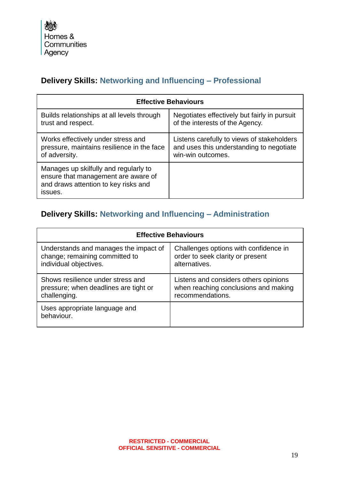## **Delivery Skills: Networking and Influencing – Professional**

| <b>Effective Behaviours</b>                                                                                                     |                                              |
|---------------------------------------------------------------------------------------------------------------------------------|----------------------------------------------|
| Builds relationships at all levels through                                                                                      | Negotiates effectively but fairly in pursuit |
| trust and respect.                                                                                                              | of the interests of the Agency.              |
| Works effectively under stress and                                                                                              | Listens carefully to views of stakeholders   |
| pressure, maintains resilience in the face                                                                                      | and uses this understanding to negotiate     |
| of adversity.                                                                                                                   | win-win outcomes.                            |
| Manages up skilfully and regularly to<br>ensure that management are aware of<br>and draws attention to key risks and<br>issues. |                                              |

## **Delivery Skills: Networking and Influencing – Administration**

| <b>Effective Behaviours</b>                 |                                       |
|---------------------------------------------|---------------------------------------|
| Understands and manages the impact of       | Challenges options with confidence in |
| change; remaining committed to              | order to seek clarity or present      |
| individual objectives.                      | alternatives.                         |
| Shows resilience under stress and           | Listens and considers others opinions |
| pressure; when deadlines are tight or       | when reaching conclusions and making  |
| challenging.                                | recommendations.                      |
| Uses appropriate language and<br>behaviour. |                                       |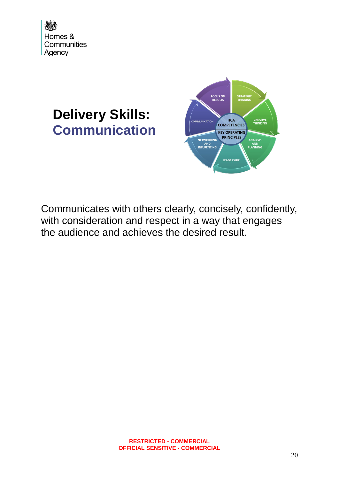

## **Delivery Skills: Communication**



Communicates with others clearly, concisely, confidently, with consideration and respect in a way that engages the audience and achieves the desired result.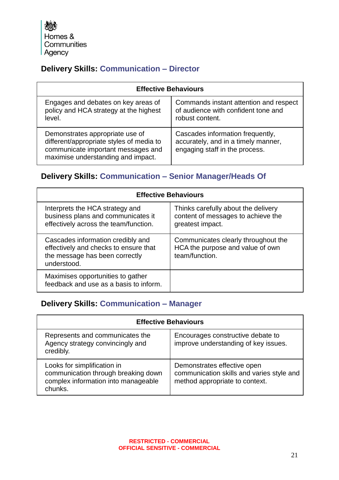Homes & Communities Agency

## **Delivery Skills: Communication – Director**

| <b>Effective Behaviours</b>                                                                                                                             |                                                                                                           |
|---------------------------------------------------------------------------------------------------------------------------------------------------------|-----------------------------------------------------------------------------------------------------------|
| Engages and debates on key areas of<br>policy and HCA strategy at the highest<br>level.                                                                 | Commands instant attention and respect<br>of audience with confident tone and<br>robust content.          |
| Demonstrates appropriate use of<br>different/appropriate styles of media to<br>communicate important messages and<br>maximise understanding and impact. | Cascades information frequently,<br>accurately, and in a timely manner,<br>engaging staff in the process. |

### **Delivery Skills: Communication – Senior Manager/Heads Of**

| <b>Effective Behaviours</b>                                                                                                 |                                                                                               |
|-----------------------------------------------------------------------------------------------------------------------------|-----------------------------------------------------------------------------------------------|
| Interprets the HCA strategy and<br>business plans and communicates it<br>effectively across the team/function.              | Thinks carefully about the delivery<br>content of messages to achieve the<br>greatest impact. |
| Cascades information credibly and<br>effectively and checks to ensure that<br>the message has been correctly<br>understood. | Communicates clearly throughout the<br>HCA the purpose and value of own<br>team/function.     |
| Maximises opportunities to gather<br>feedback and use as a basis to inform.                                                 |                                                                                               |

#### **Delivery Skills: Communication – Manager**

| <b>Effective Behaviours</b>                                                                                          |                                                                                                            |
|----------------------------------------------------------------------------------------------------------------------|------------------------------------------------------------------------------------------------------------|
| Represents and communicates the<br>Agency strategy convincingly and<br>credibly.                                     | Encourages constructive debate to<br>improve understanding of key issues.                                  |
| Looks for simplification in<br>communication through breaking down<br>complex information into manageable<br>chunks. | Demonstrates effective open<br>communication skills and varies style and<br>method appropriate to context. |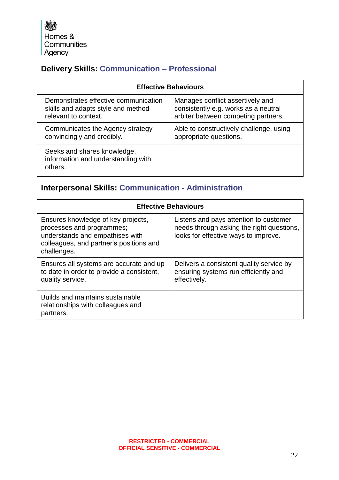大家 Homes & Communities Agency

## **Delivery Skills: Communication – Professional**

| <b>Effective Behaviours</b>                                                  |                                         |
|------------------------------------------------------------------------------|-----------------------------------------|
| Demonstrates effective communication                                         | Manages conflict assertively and        |
| skills and adapts style and method                                           | consistently e.g. works as a neutral    |
| relevant to context.                                                         | arbiter between competing partners.     |
| Communicates the Agency strategy                                             | Able to constructively challenge, using |
| convincingly and credibly.                                                   | appropriate questions.                  |
| Seeks and shares knowledge,<br>information and understanding with<br>others. |                                         |

## **Interpersonal Skills: Communication - Administration**

| <b>Effective Behaviours</b>                                                                                                                                  |                                                                                                                             |
|--------------------------------------------------------------------------------------------------------------------------------------------------------------|-----------------------------------------------------------------------------------------------------------------------------|
| Ensures knowledge of key projects,<br>processes and programmes;<br>understands and empathises with<br>colleagues, and partner's positions and<br>challenges. | Listens and pays attention to customer<br>needs through asking the right questions,<br>looks for effective ways to improve. |
| Ensures all systems are accurate and up<br>to date in order to provide a consistent,<br>quality service.                                                     | Delivers a consistent quality service by<br>ensuring systems run efficiently and<br>effectively.                            |
| Builds and maintains sustainable<br>relationships with colleagues and<br>partners.                                                                           |                                                                                                                             |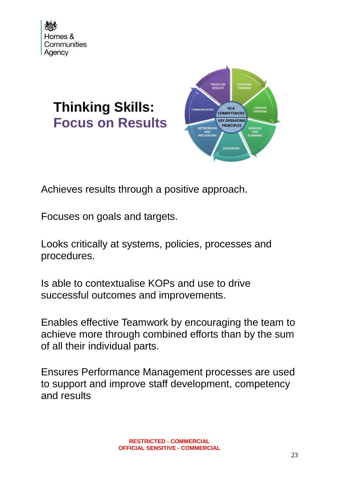

# **Thinking Skills: Focus on Results**



Achieves results through a positive approach.

Focuses on goals and targets.

Looks critically at systems, policies, processes and procedures.

Is able to contextualise KOPs and use to drive successful outcomes and improvements.

Enables effective Teamwork by encouraging the team to achieve more through combined efforts than by the sum of all their individual parts.

Ensures Performance Management processes are used to support and improve staff development, competency and results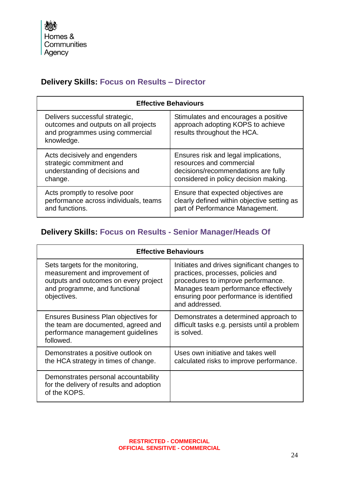## **Delivery Skills: Focus on Results – Director**

| <b>Effective Behaviours</b>                                                                                             |                                                                                                          |
|-------------------------------------------------------------------------------------------------------------------------|----------------------------------------------------------------------------------------------------------|
| Delivers successful strategic,<br>outcomes and outputs on all projects<br>and programmes using commercial<br>knowledge. | Stimulates and encourages a positive<br>approach adopting KOPS to achieve<br>results throughout the HCA. |
| Acts decisively and engenders                                                                                           | Ensures risk and legal implications,                                                                     |
| strategic commitment and                                                                                                | resources and commercial                                                                                 |
| understanding of decisions and                                                                                          | decisions/recommendations are fully                                                                      |
| change.                                                                                                                 | considered in policy decision making.                                                                    |
| Acts promptly to resolve poor                                                                                           | Ensure that expected objectives are                                                                      |
| performance across individuals, teams                                                                                   | clearly defined within objective setting as                                                              |
| and functions.                                                                                                          | part of Performance Management.                                                                          |

## **Delivery Skills: Focus on Results - Senior Manager/Heads Of**

| <b>Effective Behaviours</b>                                                                                                                                 |                                                                                                                                                                                                                              |
|-------------------------------------------------------------------------------------------------------------------------------------------------------------|------------------------------------------------------------------------------------------------------------------------------------------------------------------------------------------------------------------------------|
| Sets targets for the monitoring,<br>measurement and improvement of<br>outputs and outcomes on every project<br>and programme, and functional<br>objectives. | Initiates and drives significant changes to<br>practices, processes, policies and<br>procedures to improve performance.<br>Manages team performance effectively<br>ensuring poor performance is identified<br>and addressed. |
| Ensures Business Plan objectives for<br>the team are documented, agreed and<br>performance management guidelines<br>followed.                               | Demonstrates a determined approach to<br>difficult tasks e.g. persists until a problem<br>is solved.                                                                                                                         |
| Demonstrates a positive outlook on<br>the HCA strategy in times of change.                                                                                  | Uses own initiative and takes well<br>calculated risks to improve performance.                                                                                                                                               |
| Demonstrates personal accountability<br>for the delivery of results and adoption<br>of the KOPS.                                                            |                                                                                                                                                                                                                              |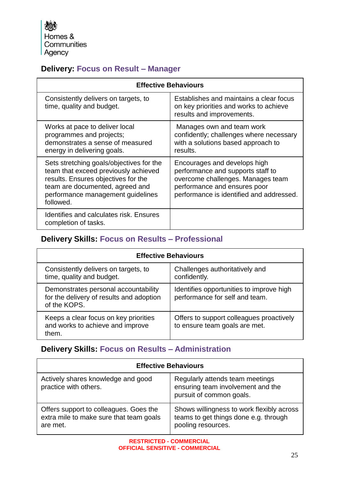小学 Homes & Communities Agency

## **Delivery: Focus on Result – Manager**

| <b>Effective Behaviours</b>                                                                                                                                                                                  |                                                                                                                                                                                    |
|--------------------------------------------------------------------------------------------------------------------------------------------------------------------------------------------------------------|------------------------------------------------------------------------------------------------------------------------------------------------------------------------------------|
| Consistently delivers on targets, to<br>time, quality and budget.                                                                                                                                            | Establishes and maintains a clear focus<br>on key priorities and works to achieve<br>results and improvements.                                                                     |
| Works at pace to deliver local<br>programmes and projects;<br>demonstrates a sense of measured<br>energy in delivering goals.                                                                                | Manages own and team work<br>confidently; challenges where necessary<br>with a solutions based approach to<br>results.                                                             |
| Sets stretching goals/objectives for the<br>team that exceed previously achieved<br>results. Ensures objectives for the<br>team are documented, agreed and<br>performance management guidelines<br>followed. | Encourages and develops high<br>performance and supports staff to<br>overcome challenges. Manages team<br>performance and ensures poor<br>performance is identified and addressed. |
| Identifies and calculates risk. Ensures<br>completion of tasks.                                                                                                                                              |                                                                                                                                                                                    |

#### **Delivery Skills: Focus on Results – Professional**

| <b>Effective Behaviours</b>                                                                      |                                                                            |
|--------------------------------------------------------------------------------------------------|----------------------------------------------------------------------------|
| Consistently delivers on targets, to<br>time, quality and budget.                                | Challenges authoritatively and<br>confidently.                             |
| Demonstrates personal accountability<br>for the delivery of results and adoption<br>of the KOPS. | Identifies opportunities to improve high<br>performance for self and team. |
| Keeps a clear focus on key priorities<br>and works to achieve and improve<br>them.               | Offers to support colleagues proactively<br>to ensure team goals are met.  |

## **Delivery Skills: Focus on Results – Administration**

| <b>Effective Behaviours</b>                                                                   |                                                                                                          |
|-----------------------------------------------------------------------------------------------|----------------------------------------------------------------------------------------------------------|
| Actively shares knowledge and good<br>practice with others.                                   | Regularly attends team meetings<br>ensuring team involvement and the<br>pursuit of common goals.         |
| Offers support to colleagues. Goes the<br>extra mile to make sure that team goals<br>are met. | Shows willingness to work flexibly across<br>teams to get things done e.g. through<br>pooling resources. |